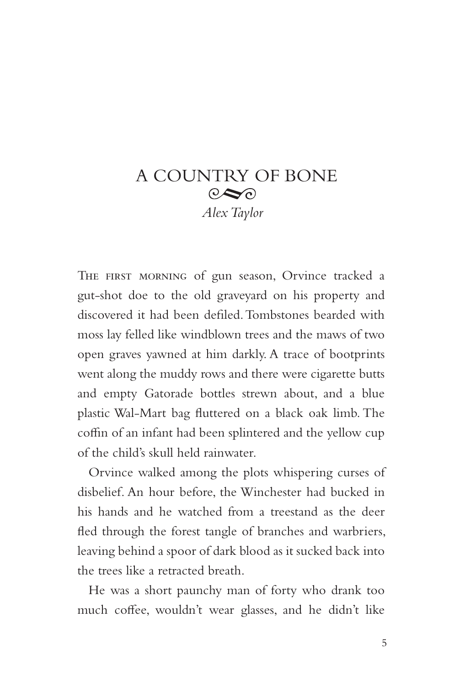## A COUNTRY OF BONE  $\odot \infty$ *Alex Taylor*

THE FIRST MORNING of gun season, Orvince tracked a gut-shot doe to the old graveyard on his property and discovered it had been defiled. Tombstones bearded with moss lay felled like windblown trees and the maws of two open graves yawned at him darkly. A trace of bootprints went along the muddy rows and there were cigarette butts and empty Gatorade bottles strewn about, and a blue plastic Wal-Mart bag fluttered on a black oak limb. The coffin of an infant had been splintered and the yellow cup of the child's skull held rainwater.

Orvince walked among the plots whispering curses of disbelief. An hour before, the Winchester had bucked in his hands and he watched from a treestand as the deer fled through the forest tangle of branches and warbriers, leaving behind a spoor of dark blood as it sucked back into the trees like a retracted breath.

He was a short paunchy man of forty who drank too much coffee, wouldn't wear glasses, and he didn't like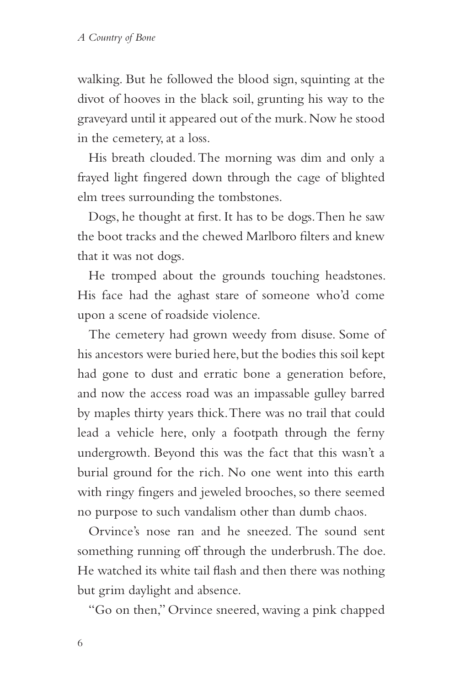walking. But he followed the blood sign, squinting at the divot of hooves in the black soil, grunting his way to the graveyard until it appeared out of the murk. Now he stood in the cemetery, at a loss.

His breath clouded. The morning was dim and only a frayed light fingered down through the cage of blighted elm trees surrounding the tombstones.

Dogs, he thought at first. It has to be dogs. Then he saw the boot tracks and the chewed Marlboro filters and knew that it was not dogs.

He tromped about the grounds touching headstones. His face had the aghast stare of someone who'd come upon a scene of roadside violence.

The cemetery had grown weedy from disuse. Some of his ancestors were buried here, but the bodies this soil kept had gone to dust and erratic bone a generation before, and now the access road was an impassable gulley barred by maples thirty years thick. There was no trail that could lead a vehicle here, only a footpath through the ferny undergrowth. Beyond this was the fact that this wasn't a burial ground for the rich. No one went into this earth with ringy fingers and jeweled brooches, so there seemed no purpose to such vandalism other than dumb chaos.

Orvince's nose ran and he sneezed. The sound sent something running off through the underbrush. The doe. He watched its white tail flash and then there was nothing but grim daylight and absence.

"Go on then," Orvince sneered, waving a pink chapped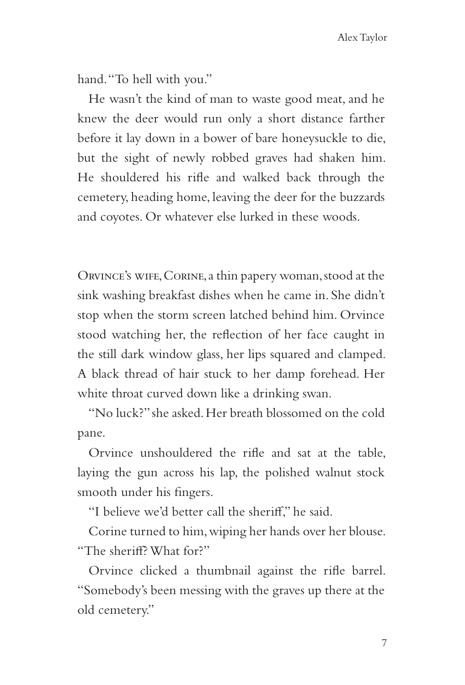hand. "To hell with you."

He wasn't the kind of man to waste good meat, and he knew the deer would run only a short distance farther before it lay down in a bower of bare honeysuckle to die, but the sight of newly robbed graves had shaken him. He shouldered his rifle and walked back through the cemetery, heading home, leaving the deer for the buzzards and coyotes. Or whatever else lurked in these woods.

Orvince's wife, Corine, a thin papery woman, stood at the sink washing breakfast dishes when he came in. She didn't stop when the storm screen latched behind him. Orvince stood watching her, the reflection of her face caught in the still dark window glass, her lips squared and clamped. A black thread of hair stuck to her damp forehead. Her white throat curved down like a drinking swan.

"No luck?" she asked. Her breath blossomed on the cold pane.

Orvince unshouldered the rifle and sat at the table, laying the gun across his lap, the polished walnut stock smooth under his fingers.

"I believe we'd better call the sheriff," he said.

Corine turned to him, wiping her hands over her blouse. "The sheriff? What for?"

Orvince clicked a thumbnail against the rifle barrel. "Somebody's been messing with the graves up there at the old cemetery."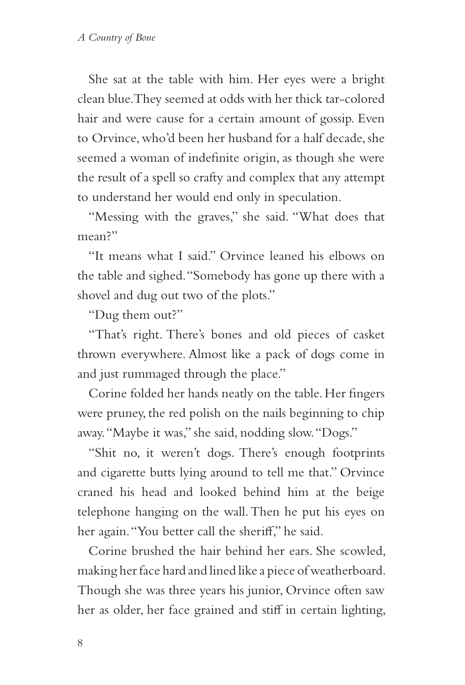She sat at the table with him. Her eyes were a bright clean blue. They seemed at odds with her thick tar-colored hair and were cause for a certain amount of gossip. Even to Orvince, who'd been her husband for a half decade, she seemed a woman of indefinite origin, as though she were the result of a spell so crafty and complex that any attempt to understand her would end only in speculation.

"Messing with the graves," she said. "What does that mean?"

"It means what I said." Orvince leaned his elbows on the table and sighed. "Somebody has gone up there with a shovel and dug out two of the plots."

"Dug them out?"

"That's right. There's bones and old pieces of casket thrown everywhere. Almost like a pack of dogs come in and just rummaged through the place."

Corine folded her hands neatly on the table. Her fingers were pruney, the red polish on the nails beginning to chip away. "Maybe it was," she said, nodding slow. "Dogs."

"Shit no, it weren't dogs. There's enough footprints and cigarette butts lying around to tell me that." Orvince craned his head and looked behind him at the beige telephone hanging on the wall. Then he put his eyes on her again. "You better call the sheriff," he said.

Corine brushed the hair behind her ears. She scowled, making her face hard and lined like a piece of weatherboard. Though she was three years his junior, Orvince often saw her as older, her face grained and stiff in certain lighting,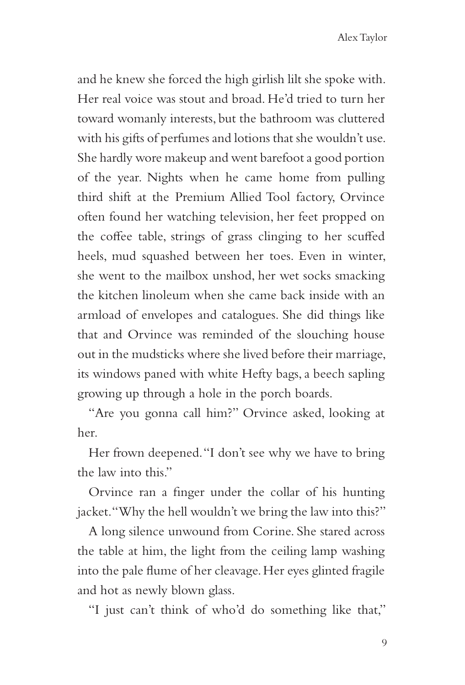and he knew she forced the high girlish lilt she spoke with. Her real voice was stout and broad. He'd tried to turn her toward womanly interests, but the bathroom was cluttered with his gifts of perfumes and lotions that she wouldn't use. She hardly wore makeup and went barefoot a good portion of the year. Nights when he came home from pulling third shift at the Premium Allied Tool factory, Orvince often found her watching television, her feet propped on the coffee table, strings of grass clinging to her scuffed heels, mud squashed between her toes. Even in winter, she went to the mailbox unshod, her wet socks smacking the kitchen linoleum when she came back inside with an armload of envelopes and catalogues. She did things like that and Orvince was reminded of the slouching house out in the mudsticks where she lived before their marriage, its windows paned with white Hefty bags, a beech sapling growing up through a hole in the porch boards.

"Are you gonna call him?" Orvince asked, looking at her.

Her frown deepened. "I don't see why we have to bring the law into this."

Orvince ran a finger under the collar of his hunting jacket. "Why the hell wouldn't we bring the law into this?"

A long silence unwound from Corine. She stared across the table at him, the light from the ceiling lamp washing into the pale flume of her cleavage. Her eyes glinted fragile and hot as newly blown glass.

"I just can't think of who'd do something like that,"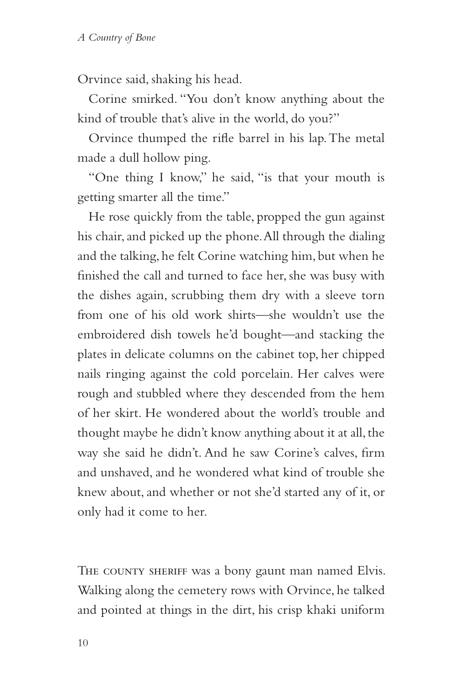Orvince said, shaking his head.

Corine smirked. "You don't know anything about the kind of trouble that's alive in the world, do you?"

Orvince thumped the rifle barrel in his lap. The metal made a dull hollow ping.

"One thing I know," he said, "is that your mouth is getting smarter all the time."

He rose quickly from the table, propped the gun against his chair, and picked up the phone. All through the dialing and the talking, he felt Corine watching him, but when he finished the call and turned to face her, she was busy with the dishes again, scrubbing them dry with a sleeve torn from one of his old work shirts—she wouldn't use the embroidered dish towels he'd bought—and stacking the plates in delicate columns on the cabinet top, her chipped nails ringing against the cold porcelain. Her calves were rough and stubbled where they descended from the hem of her skirt. He wondered about the world's trouble and thought maybe he didn't know anything about it at all, the way she said he didn't. And he saw Corine's calves, firm and unshaved, and he wondered what kind of trouble she knew about, and whether or not she'd started any of it, or only had it come to her.

THE COUNTY SHERIFF was a bony gaunt man named Elvis. Walking along the cemetery rows with Orvince, he talked and pointed at things in the dirt, his crisp khaki uniform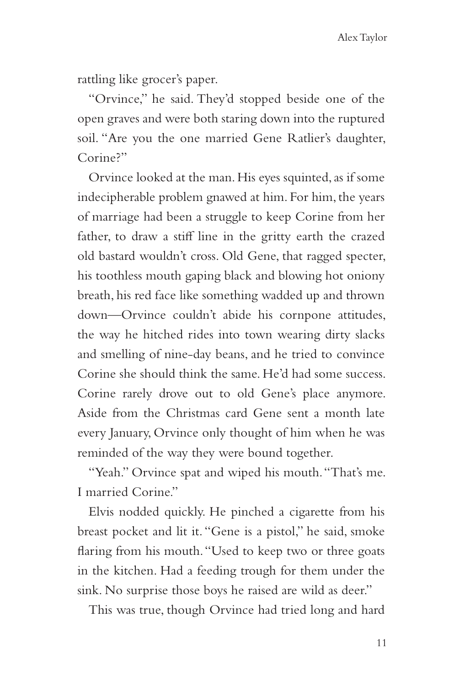rattling like grocer's paper.

"Orvince," he said. They'd stopped beside one of the open graves and were both staring down into the ruptured soil. "Are you the one married Gene Ratlier's daughter, Corine?"

Orvince looked at the man. His eyes squinted, as if some indecipherable problem gnawed at him. For him, the years of marriage had been a struggle to keep Corine from her father, to draw a stiff line in the gritty earth the crazed old bastard wouldn't cross. Old Gene, that ragged specter, his toothless mouth gaping black and blowing hot oniony breath, his red face like something wadded up and thrown down—Orvince couldn't abide his cornpone attitudes, the way he hitched rides into town wearing dirty slacks and smelling of nine-day beans, and he tried to convince Corine she should think the same. He'd had some success. Corine rarely drove out to old Gene's place anymore. Aside from the Christmas card Gene sent a month late every January, Orvince only thought of him when he was reminded of the way they were bound together.

"Yeah." Orvince spat and wiped his mouth. "That's me. I married Corine."

Elvis nodded quickly. He pinched a cigarette from his breast pocket and lit it. "Gene is a pistol," he said, smoke flaring from his mouth. "Used to keep two or three goats in the kitchen. Had a feeding trough for them under the sink. No surprise those boys he raised are wild as deer."

This was true, though Orvince had tried long and hard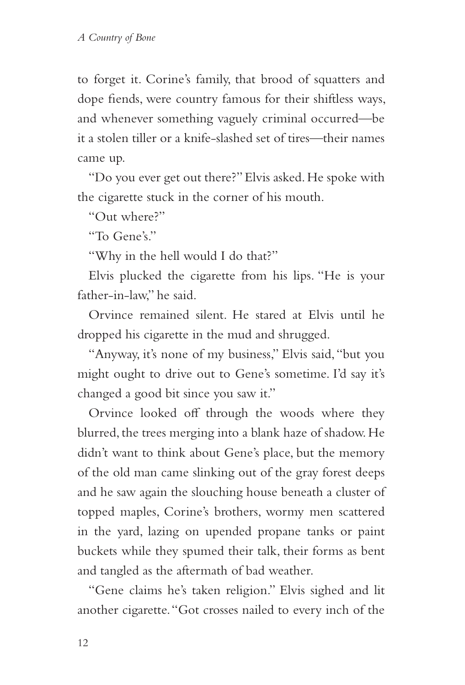to forget it. Corine's family, that brood of squatters and dope fiends, were country famous for their shiftless ways, and whenever something vaguely criminal occurred—be it a stolen tiller or a knife-slashed set of tires—their names came up.

"Do you ever get out there?" Elvis asked. He spoke with the cigarette stuck in the corner of his mouth.

"Out where?"

"To Gene's"

"Why in the hell would I do that?"

Elvis plucked the cigarette from his lips. "He is your father-in-law," he said.

Orvince remained silent. He stared at Elvis until he dropped his cigarette in the mud and shrugged.

"Anyway, it's none of my business," Elvis said, "but you might ought to drive out to Gene's sometime. I'd say it's changed a good bit since you saw it."

Orvince looked off through the woods where they blurred, the trees merging into a blank haze of shadow. He didn't want to think about Gene's place, but the memory of the old man came slinking out of the gray forest deeps and he saw again the slouching house beneath a cluster of topped maples, Corine's brothers, wormy men scattered in the yard, lazing on upended propane tanks or paint buckets while they spumed their talk, their forms as bent and tangled as the aftermath of bad weather.

"Gene claims he's taken religion." Elvis sighed and lit another cigarette. "Got crosses nailed to every inch of the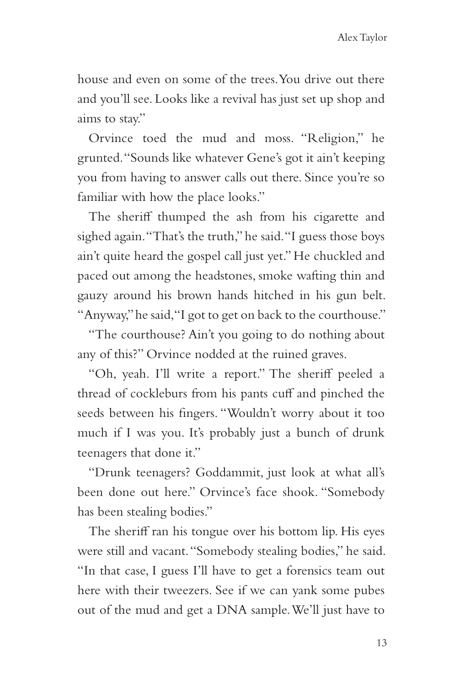house and even on some of the trees. You drive out there and you'll see. Looks like a revival has just set up shop and aims to stay."

Orvince toed the mud and moss. "Religion," he grunted. "Sounds like whatever Gene's got it ain't keeping you from having to answer calls out there. Since you're so familiar with how the place looks."

The sheriff thumped the ash from his cigarette and sighed again. "That's the truth," he said. "I guess those boys ain't quite heard the gospel call just yet." He chuckled and paced out among the headstones, smoke wafting thin and gauzy around his brown hands hitched in his gun belt. "Anyway," he said, "I got to get on back to the courthouse."

"The courthouse? Ain't you going to do nothing about any of this?" Orvince nodded at the ruined graves.

"Oh, yeah. I'll write a report." The sheriff peeled a thread of cockleburs from his pants cuff and pinched the seeds between his fingers. "Wouldn't worry about it too much if I was you. It's probably just a bunch of drunk teenagers that done it."

"Drunk teenagers? Goddammit, just look at what all's been done out here." Orvince's face shook. "Somebody has been stealing bodies."

The sheriff ran his tongue over his bottom lip. His eyes were still and vacant. "Somebody stealing bodies," he said. "In that case, I guess I'll have to get a forensics team out here with their tweezers. See if we can yank some pubes out of the mud and get a DNA sample. We'll just have to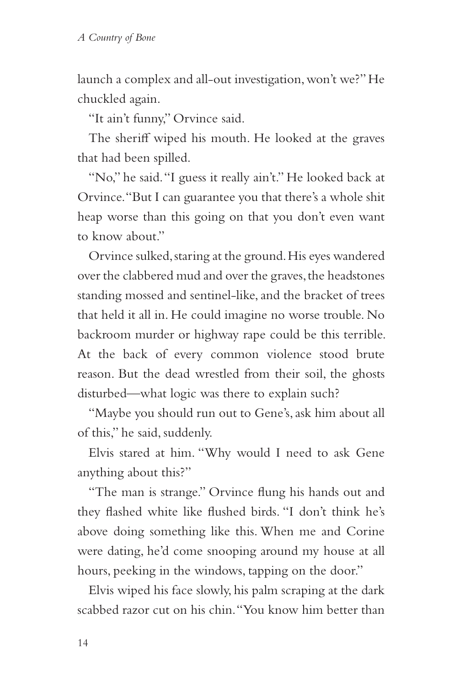launch a complex and all-out investigation, won't we?" He chuckled again.

"It ain't funny," Orvince said.

The sheriff wiped his mouth. He looked at the graves that had been spilled.

"No," he said. "I guess it really ain't." He looked back at Orvince. "But I can guarantee you that there's a whole shit heap worse than this going on that you don't even want to know about."

Orvince sulked, staring at the ground. His eyes wandered over the clabbered mud and over the graves, the headstones standing mossed and sentinel-like, and the bracket of trees that held it all in. He could imagine no worse trouble. No backroom murder or highway rape could be this terrible. At the back of every common violence stood brute reason. But the dead wrestled from their soil, the ghosts disturbed—what logic was there to explain such?

"Maybe you should run out to Gene's, ask him about all of this," he said, suddenly.

Elvis stared at him. "Why would I need to ask Gene anything about this?"

"The man is strange." Orvince flung his hands out and they flashed white like flushed birds. "I don't think he's above doing something like this. When me and Corine were dating, he'd come snooping around my house at all hours, peeking in the windows, tapping on the door."

Elvis wiped his face slowly, his palm scraping at the dark scabbed razor cut on his chin. "You know him better than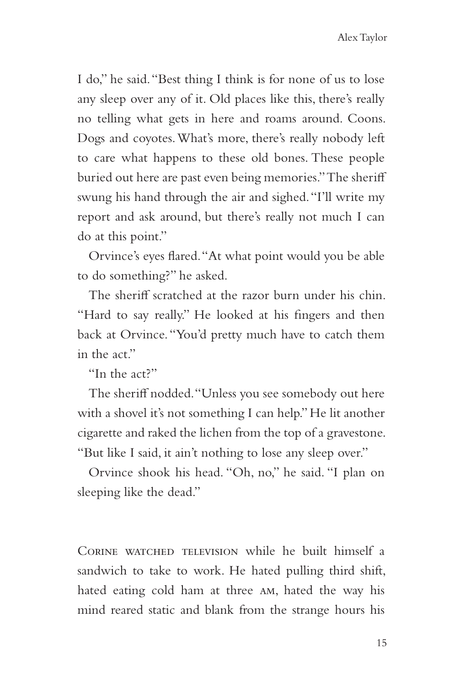I do," he said. "Best thing I think is for none of us to lose any sleep over any of it. Old places like this, there's really no telling what gets in here and roams around. Coons. Dogs and coyotes. What's more, there's really nobody left to care what happens to these old bones. These people buried out here are past even being memories." The sheriff swung his hand through the air and sighed. "I'll write my report and ask around, but there's really not much I can do at this point."

Orvince's eyes flared. "At what point would you be able to do something?" he asked.

The sheriff scratched at the razor burn under his chin. "Hard to say really." He looked at his fingers and then back at Orvince. "You'd pretty much have to catch them in the act"

"In the act?"

The sheriff nodded. "Unless you see somebody out here with a shovel it's not something I can help." He lit another cigarette and raked the lichen from the top of a gravestone. "But like I said, it ain't nothing to lose any sleep over."

Orvince shook his head. "Oh, no," he said. "I plan on sleeping like the dead."

CORINE WATCHED TELEVISION while he built himself a sandwich to take to work. He hated pulling third shift, hated eating cold ham at three am, hated the way his mind reared static and blank from the strange hours his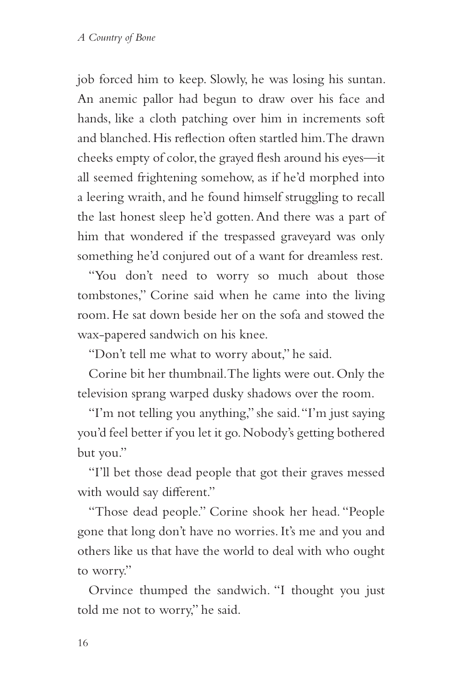job forced him to keep. Slowly, he was losing his suntan. An anemic pallor had begun to draw over his face and hands, like a cloth patching over him in increments soft and blanched. His reflection often startled him. The drawn cheeks empty of color, the grayed flesh around his eyes—it all seemed frightening somehow, as if he'd morphed into a leering wraith, and he found himself struggling to recall the last honest sleep he'd gotten. And there was a part of him that wondered if the trespassed graveyard was only something he'd conjured out of a want for dreamless rest.

"You don't need to worry so much about those tombstones," Corine said when he came into the living room. He sat down beside her on the sofa and stowed the wax-papered sandwich on his knee.

"Don't tell me what to worry about," he said.

Corine bit her thumbnail. The lights were out. Only the television sprang warped dusky shadows over the room.

"I'm not telling you anything," she said. "I'm just saying you'd feel better if you let it go. Nobody's getting bothered but you."

"I'll bet those dead people that got their graves messed with would say different."

"Those dead people." Corine shook her head. "People gone that long don't have no worries. It's me and you and others like us that have the world to deal with who ought to worry."

Orvince thumped the sandwich. "I thought you just told me not to worry," he said.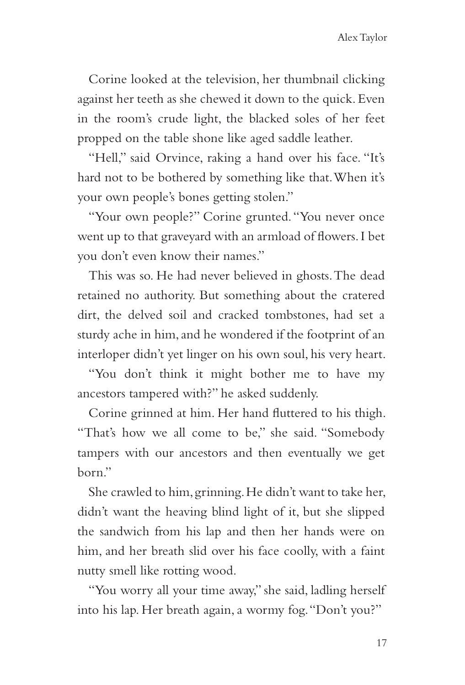Corine looked at the television, her thumbnail clicking against her teeth as she chewed it down to the quick. Even in the room's crude light, the blacked soles of her feet propped on the table shone like aged saddle leather.

"Hell," said Orvince, raking a hand over his face. "It's hard not to be bothered by something like that. When it's your own people's bones getting stolen."

"Your own people?" Corine grunted. "You never once went up to that graveyard with an armload of flowers. I bet you don't even know their names."

This was so. He had never believed in ghosts. The dead retained no authority. But something about the cratered dirt, the delved soil and cracked tombstones, had set a sturdy ache in him, and he wondered if the footprint of an interloper didn't yet linger on his own soul, his very heart.

"You don't think it might bother me to have my ancestors tampered with?" he asked suddenly.

Corine grinned at him. Her hand fluttered to his thigh. "That's how we all come to be," she said. "Somebody tampers with our ancestors and then eventually we get born."

She crawled to him, grinning. He didn't want to take her, didn't want the heaving blind light of it, but she slipped the sandwich from his lap and then her hands were on him, and her breath slid over his face coolly, with a faint nutty smell like rotting wood.

"You worry all your time away," she said, ladling herself into his lap. Her breath again, a wormy fog. "Don't you?"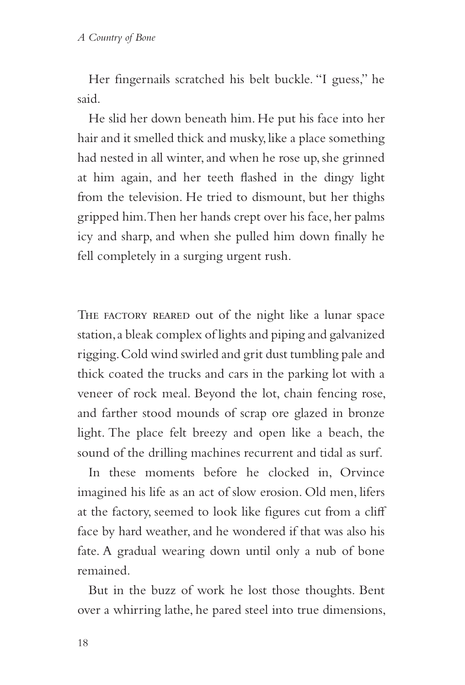Her fingernails scratched his belt buckle. "I guess," he said.

He slid her down beneath him. He put his face into her hair and it smelled thick and musky, like a place something had nested in all winter, and when he rose up, she grinned at him again, and her teeth flashed in the dingy light from the television. He tried to dismount, but her thighs gripped him. Then her hands crept over his face, her palms icy and sharp, and when she pulled him down finally he fell completely in a surging urgent rush.

THE FACTORY REARED out of the night like a lunar space station, a bleak complex of lights and piping and galvanized rigging. Cold wind swirled and grit dust tumbling pale and thick coated the trucks and cars in the parking lot with a veneer of rock meal. Beyond the lot, chain fencing rose, and farther stood mounds of scrap ore glazed in bronze light. The place felt breezy and open like a beach, the sound of the drilling machines recurrent and tidal as surf.

In these moments before he clocked in, Orvince imagined his life as an act of slow erosion. Old men, lifers at the factory, seemed to look like figures cut from a cliff face by hard weather, and he wondered if that was also his fate. A gradual wearing down until only a nub of bone remained.

But in the buzz of work he lost those thoughts. Bent over a whirring lathe, he pared steel into true dimensions,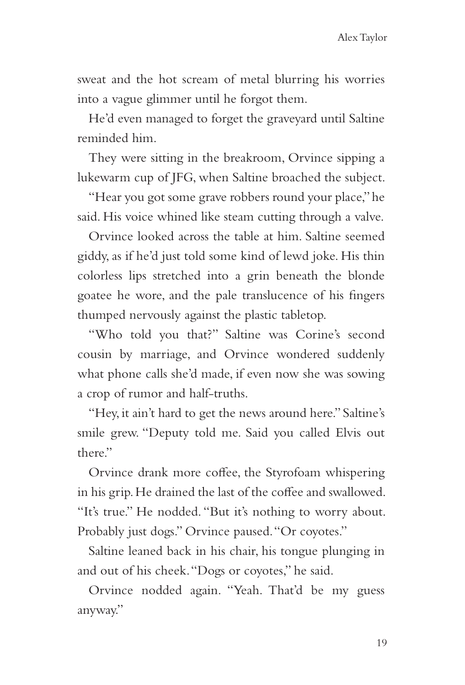sweat and the hot scream of metal blurring his worries into a vague glimmer until he forgot them.

He'd even managed to forget the graveyard until Saltine reminded him.

They were sitting in the breakroom, Orvince sipping a lukewarm cup of JFG, when Saltine broached the subject.

"Hear you got some grave robbers round your place," he said. His voice whined like steam cutting through a valve.

Orvince looked across the table at him. Saltine seemed giddy, as if he'd just told some kind of lewd joke. His thin colorless lips stretched into a grin beneath the blonde goatee he wore, and the pale translucence of his fingers thumped nervously against the plastic tabletop.

"Who told you that?" Saltine was Corine's second cousin by marriage, and Orvince wondered suddenly what phone calls she'd made, if even now she was sowing a crop of rumor and half-truths.

"Hey, it ain't hard to get the news around here." Saltine's smile grew. "Deputy told me. Said you called Elvis out there."

Orvince drank more coffee, the Styrofoam whispering in his grip. He drained the last of the coffee and swallowed. "It's true." He nodded. "But it's nothing to worry about. Probably just dogs." Orvince paused. "Or coyotes."

Saltine leaned back in his chair, his tongue plunging in and out of his cheek. "Dogs or coyotes," he said.

Orvince nodded again. "Yeah. That'd be my guess anyway."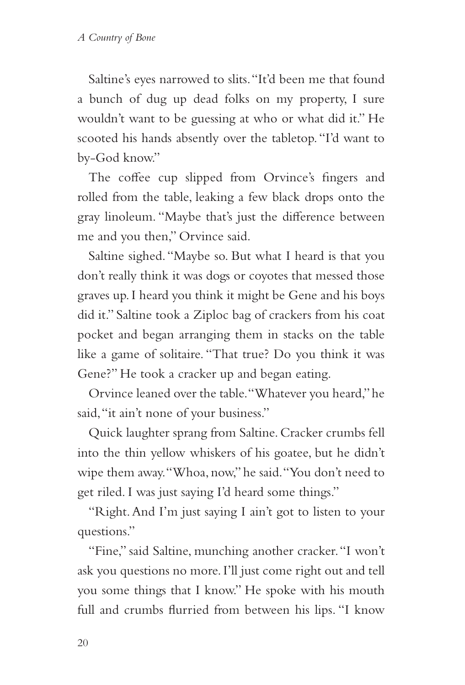Saltine's eyes narrowed to slits. "It'd been me that found a bunch of dug up dead folks on my property, I sure wouldn't want to be guessing at who or what did it." He scooted his hands absently over the tabletop. "I'd want to by-God know."

The coffee cup slipped from Orvince's fingers and rolled from the table, leaking a few black drops onto the gray linoleum. "Maybe that's just the difference between me and you then," Orvince said.

Saltine sighed. "Maybe so. But what I heard is that you don't really think it was dogs or coyotes that messed those graves up. I heard you think it might be Gene and his boys did it." Saltine took a Ziploc bag of crackers from his coat pocket and began arranging them in stacks on the table like a game of solitaire. "That true? Do you think it was Gene?" He took a cracker up and began eating.

Orvince leaned over the table. "Whatever you heard," he said, "it ain't none of your business."

Quick laughter sprang from Saltine. Cracker crumbs fell into the thin yellow whiskers of his goatee, but he didn't wipe them away. "Whoa, now," he said. "You don't need to get riled. I was just saying I'd heard some things."

"Right. And I'm just saying I ain't got to listen to your questions."

"Fine," said Saltine, munching another cracker. "I won't ask you questions no more. I'll just come right out and tell you some things that I know." He spoke with his mouth full and crumbs flurried from between his lips. "I know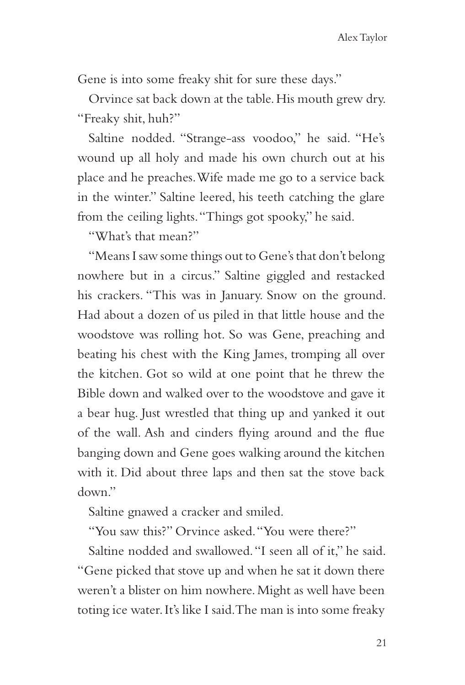Gene is into some freaky shit for sure these days."

Orvince sat back down at the table. His mouth grew dry. "Freaky shit, huh?"

Saltine nodded. "Strange-ass voodoo," he said. "He's wound up all holy and made his own church out at his place and he preaches. Wife made me go to a service back in the winter." Saltine leered, his teeth catching the glare from the ceiling lights. "Things got spooky," he said.

"What's that mean?"

"Means I saw some things out to Gene's that don't belong nowhere but in a circus." Saltine giggled and restacked his crackers. "This was in January. Snow on the ground. Had about a dozen of us piled in that little house and the woodstove was rolling hot. So was Gene, preaching and beating his chest with the King James, tromping all over the kitchen. Got so wild at one point that he threw the Bible down and walked over to the woodstove and gave it a bear hug. Just wrestled that thing up and yanked it out of the wall. Ash and cinders flying around and the flue banging down and Gene goes walking around the kitchen with it. Did about three laps and then sat the stove back down."

Saltine gnawed a cracker and smiled.

"You saw this?" Orvince asked. "You were there?"

Saltine nodded and swallowed. "I seen all of it," he said. "Gene picked that stove up and when he sat it down there weren't a blister on him nowhere. Might as well have been toting ice water. It's like I said. The man is into some freaky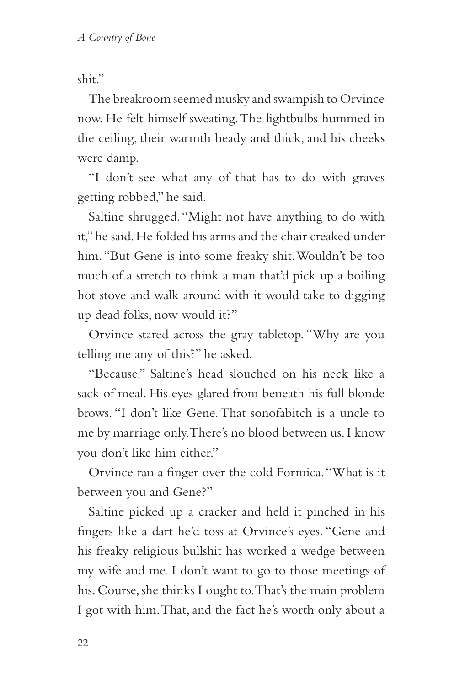shit."

The breakroom seemed musky and swampish to Orvince now. He felt himself sweating. The lightbulbs hummed in the ceiling, their warmth heady and thick, and his cheeks were damp.

"I don't see what any of that has to do with graves getting robbed," he said.

Saltine shrugged. "Might not have anything to do with it," he said. He folded his arms and the chair creaked under him. "But Gene is into some freaky shit. Wouldn't be too much of a stretch to think a man that'd pick up a boiling hot stove and walk around with it would take to digging up dead folks, now would it?"

Orvince stared across the gray tabletop. "Why are you telling me any of this?" he asked.

"Because." Saltine's head slouched on his neck like a sack of meal. His eyes glared from beneath his full blonde brows. "I don't like Gene. That sonofabitch is a uncle to me by marriage only. There's no blood between us. I know you don't like him either."

Orvince ran a finger over the cold Formica. "What is it between you and Gene?"

Saltine picked up a cracker and held it pinched in his fingers like a dart he'd toss at Orvince's eyes. "Gene and his freaky religious bullshit has worked a wedge between my wife and me. I don't want to go to those meetings of his. Course, she thinks I ought to. That's the main problem I got with him. That, and the fact he's worth only about a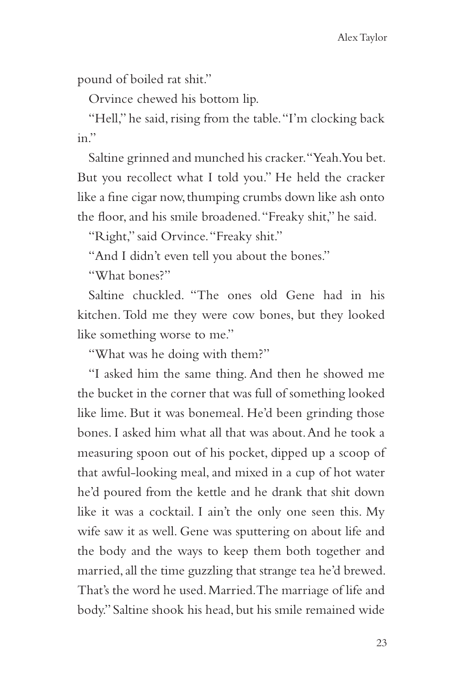pound of boiled rat shit."

Orvince chewed his bottom lip.

"Hell," he said, rising from the table. "I'm clocking back in."

Saltine grinned and munched his cracker. "Yeah. You bet. But you recollect what I told you." He held the cracker like a fine cigar now, thumping crumbs down like ash onto the floor, and his smile broadened. "Freaky shit," he said.

"Right," said Orvince. "Freaky shit."

"And I didn't even tell you about the bones."

"What bones?"

Saltine chuckled. "The ones old Gene had in his kitchen. Told me they were cow bones, but they looked like something worse to me."

"What was he doing with them?"

"I asked him the same thing. And then he showed me the bucket in the corner that was full of something looked like lime. But it was bonemeal. He'd been grinding those bones. I asked him what all that was about. And he took a measuring spoon out of his pocket, dipped up a scoop of that awful-looking meal, and mixed in a cup of hot water he'd poured from the kettle and he drank that shit down like it was a cocktail. I ain't the only one seen this. My wife saw it as well. Gene was sputtering on about life and the body and the ways to keep them both together and married, all the time guzzling that strange tea he'd brewed. That's the word he used. Married. The marriage of life and body." Saltine shook his head, but his smile remained wide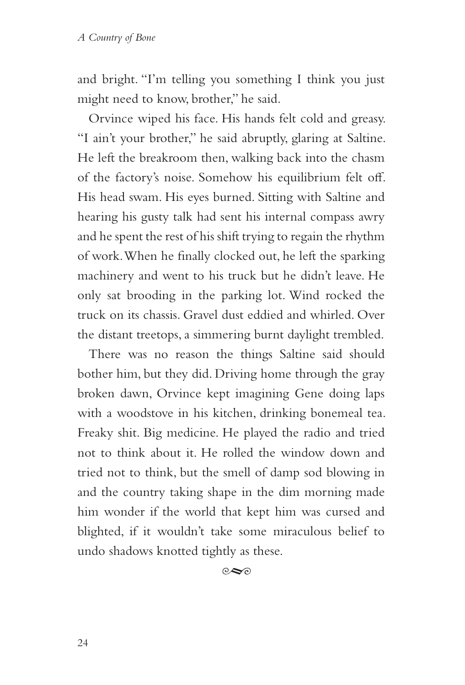and bright. "I'm telling you something I think you just might need to know, brother," he said.

Orvince wiped his face. His hands felt cold and greasy. "I ain't your brother," he said abruptly, glaring at Saltine. He left the breakroom then, walking back into the chasm of the factory's noise. Somehow his equilibrium felt off. His head swam. His eyes burned. Sitting with Saltine and hearing his gusty talk had sent his internal compass awry and he spent the rest of his shift trying to regain the rhythm of work. When he finally clocked out, he left the sparking machinery and went to his truck but he didn't leave. He only sat brooding in the parking lot. Wind rocked the truck on its chassis. Gravel dust eddied and whirled. Over the distant treetops, a simmering burnt daylight trembled.

There was no reason the things Saltine said should bother him, but they did. Driving home through the gray broken dawn, Orvince kept imagining Gene doing laps with a woodstove in his kitchen, drinking bonemeal tea. Freaky shit. Big medicine. He played the radio and tried not to think about it. He rolled the window down and tried not to think, but the smell of damp sod blowing in and the country taking shape in the dim morning made him wonder if the world that kept him was cursed and blighted, if it wouldn't take some miraculous belief to undo shadows knotted tightly as these.

 $\infty$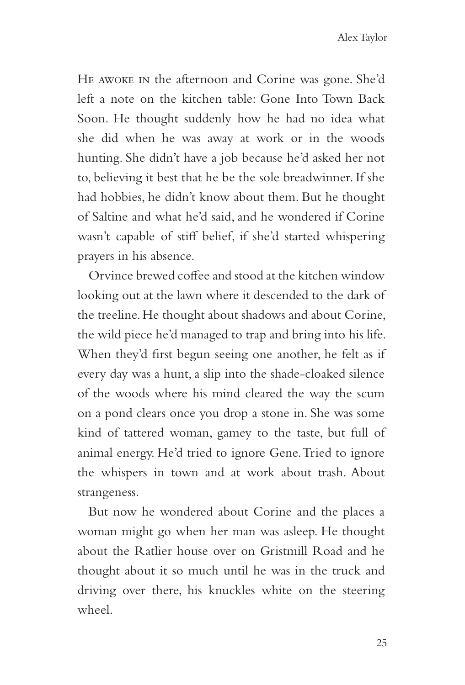He awoke in the afternoon and Corine was gone. She'd left a note on the kitchen table: Gone Into Town Back Soon. He thought suddenly how he had no idea what she did when he was away at work or in the woods hunting. She didn't have a job because he'd asked her not to, believing it best that he be the sole breadwinner. If she had hobbies, he didn't know about them. But he thought of Saltine and what he'd said, and he wondered if Corine wasn't capable of stiff belief, if she'd started whispering prayers in his absence.

Orvince brewed coffee and stood at the kitchen window looking out at the lawn where it descended to the dark of the treeline. He thought about shadows and about Corine, the wild piece he'd managed to trap and bring into his life. When they'd first begun seeing one another, he felt as if every day was a hunt, a slip into the shade-cloaked silence of the woods where his mind cleared the way the scum on a pond clears once you drop a stone in. She was some kind of tattered woman, gamey to the taste, but full of animal energy. He'd tried to ignore Gene. Tried to ignore the whispers in town and at work about trash. About strangeness.

But now he wondered about Corine and the places a woman might go when her man was asleep. He thought about the Ratlier house over on Gristmill Road and he thought about it so much until he was in the truck and driving over there, his knuckles white on the steering wheel.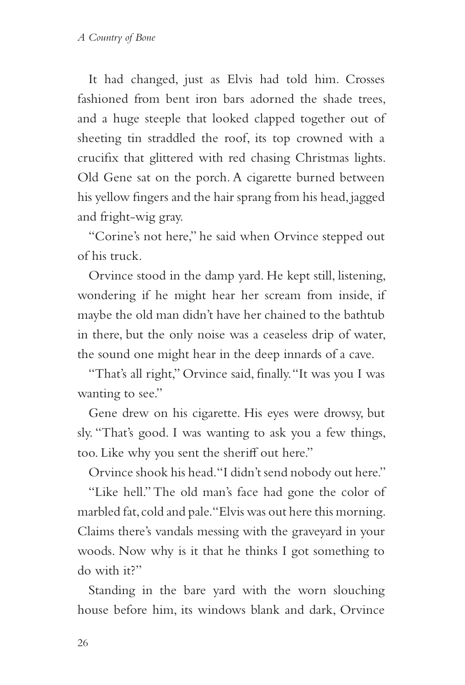It had changed, just as Elvis had told him. Crosses fashioned from bent iron bars adorned the shade trees, and a huge steeple that looked clapped together out of sheeting tin straddled the roof, its top crowned with a crucifix that glittered with red chasing Christmas lights. Old Gene sat on the porch. A cigarette burned between his yellow fingers and the hair sprang from his head, jagged and fright-wig gray.

"Corine's not here," he said when Orvince stepped out of his truck.

Orvince stood in the damp yard. He kept still, listening, wondering if he might hear her scream from inside, if maybe the old man didn't have her chained to the bathtub in there, but the only noise was a ceaseless drip of water, the sound one might hear in the deep innards of a cave.

"That's all right," Orvince said, finally. "It was you I was wanting to see."

Gene drew on his cigarette. His eyes were drowsy, but sly. "That's good. I was wanting to ask you a few things, too. Like why you sent the sheriff out here."

Orvince shook his head. "I didn't send nobody out here."

"Like hell." The old man's face had gone the color of marbled fat, cold and pale. "Elvis was out here this morning. Claims there's vandals messing with the graveyard in your woods. Now why is it that he thinks I got something to do with it?"

Standing in the bare yard with the worn slouching house before him, its windows blank and dark, Orvince

26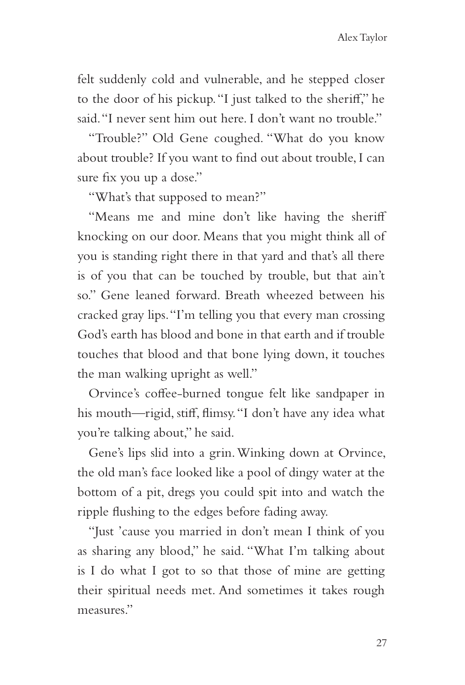felt suddenly cold and vulnerable, and he stepped closer to the door of his pickup. "I just talked to the sheriff," he said. "I never sent him out here. I don't want no trouble."

"Trouble?" Old Gene coughed. "What do you know about trouble? If you want to find out about trouble, I can sure fix you up a dose."

"What's that supposed to mean?"

"Means me and mine don't like having the sheriff knocking on our door. Means that you might think all of you is standing right there in that yard and that's all there is of you that can be touched by trouble, but that ain't so." Gene leaned forward. Breath wheezed between his cracked gray lips. "I'm telling you that every man crossing God's earth has blood and bone in that earth and if trouble touches that blood and that bone lying down, it touches the man walking upright as well."

Orvince's coffee-burned tongue felt like sandpaper in his mouth—rigid, stiff, flimsy. "I don't have any idea what you're talking about," he said.

Gene's lips slid into a grin. Winking down at Orvince, the old man's face looked like a pool of dingy water at the bottom of a pit, dregs you could spit into and watch the ripple flushing to the edges before fading away.

"Just 'cause you married in don't mean I think of you as sharing any blood," he said. "What I'm talking about is I do what I got to so that those of mine are getting their spiritual needs met. And sometimes it takes rough measures"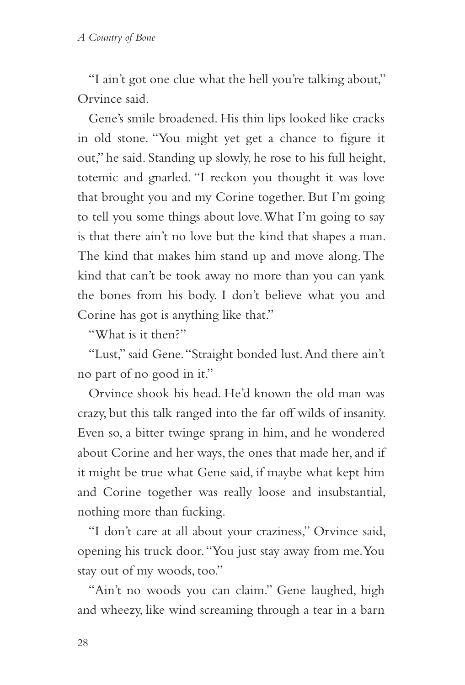"I ain't got one clue what the hell you're talking about," Orvince said.

Gene's smile broadened. His thin lips looked like cracks in old stone. "You might yet get a chance to figure it out," he said. Standing up slowly, he rose to his full height, totemic and gnarled. "I reckon you thought it was love that brought you and my Corine together. But I'm going to tell you some things about love. What I'm going to say is that there ain't no love but the kind that shapes a man. The kind that makes him stand up and move along. The kind that can't be took away no more than you can yank the bones from his body. I don't believe what you and Corine has got is anything like that."

"What is it then?"

"Lust," said Gene. "Straight bonded lust. And there ain't no part of no good in it."

Orvince shook his head. He'd known the old man was crazy, but this talk ranged into the far off wilds of insanity. Even so, a bitter twinge sprang in him, and he wondered about Corine and her ways, the ones that made her, and if it might be true what Gene said, if maybe what kept him and Corine together was really loose and insubstantial, nothing more than fucking.

"I don't care at all about your craziness," Orvince said, opening his truck door. "You just stay away from me. You stay out of my woods, too."

"Ain't no woods you can claim." Gene laughed, high and wheezy, like wind screaming through a tear in a barn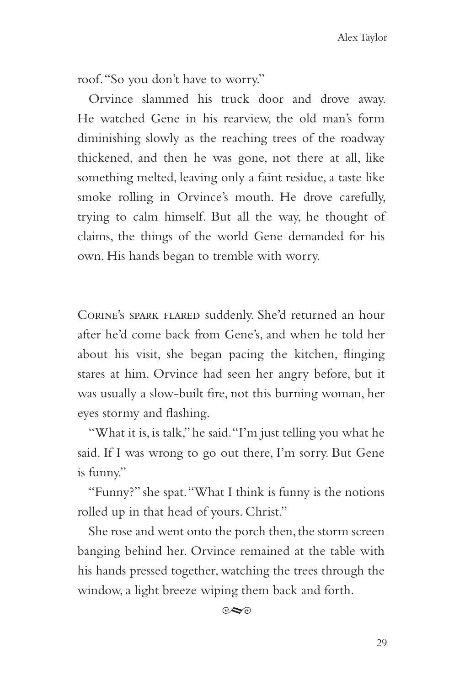roof. "So you don't have to worry."

Orvince slammed his truck door and drove away. He watched Gene in his rearview, the old man's form diminishing slowly as the reaching trees of the roadway thickened, and then he was gone, not there at all, like something melted, leaving only a faint residue, a taste like smoke rolling in Orvince's mouth. He drove carefully, trying to calm himself. But all the way, he thought of claims, the things of the world Gene demanded for his own. His hands began to tremble with worry.

Corine's spark flared suddenly. She'd returned an hour after he'd come back from Gene's, and when he told her about his visit, she began pacing the kitchen, flinging stares at him. Orvince had seen her angry before, but it was usually a slow-built fire, not this burning woman, her eyes stormy and flashing.

"What it is, is talk," he said. "I'm just telling you what he said. If I was wrong to go out there, I'm sorry. But Gene is funny."

"Funny?" she spat. "What I think is funny is the notions rolled up in that head of yours. Christ."

She rose and went onto the porch then, the storm screen banging behind her. Orvince remained at the table with his hands pressed together, watching the trees through the window, a light breeze wiping them back and forth.

 $\circ \sim$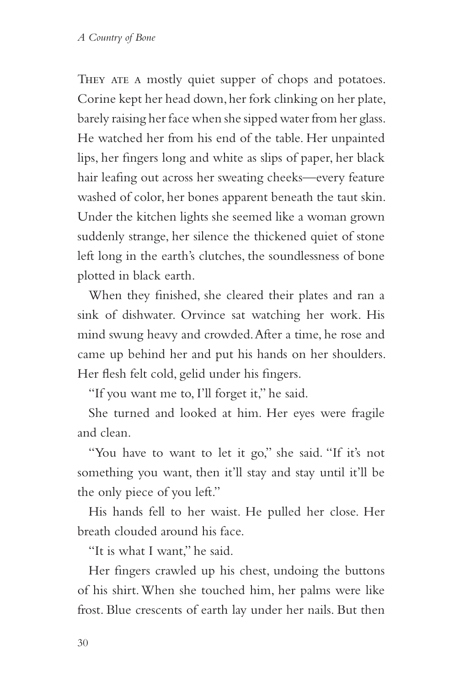THEY ATE A mostly quiet supper of chops and potatoes. Corine kept her head down, her fork clinking on her plate, barely raising her face when she sipped water from her glass. He watched her from his end of the table. Her unpainted lips, her fingers long and white as slips of paper, her black hair leafing out across her sweating cheeks—every feature washed of color, her bones apparent beneath the taut skin. Under the kitchen lights she seemed like a woman grown suddenly strange, her silence the thickened quiet of stone left long in the earth's clutches, the soundlessness of bone plotted in black earth.

When they finished, she cleared their plates and ran a sink of dishwater. Orvince sat watching her work. His mind swung heavy and crowded. After a time, he rose and came up behind her and put his hands on her shoulders. Her flesh felt cold, gelid under his fingers.

"If you want me to, I'll forget it," he said.

She turned and looked at him. Her eyes were fragile and clean.

"You have to want to let it go," she said. "If it's not something you want, then it'll stay and stay until it'll be the only piece of you left."

His hands fell to her waist. He pulled her close. Her breath clouded around his face.

"It is what I want," he said.

Her fingers crawled up his chest, undoing the buttons of his shirt. When she touched him, her palms were like frost. Blue crescents of earth lay under her nails. But then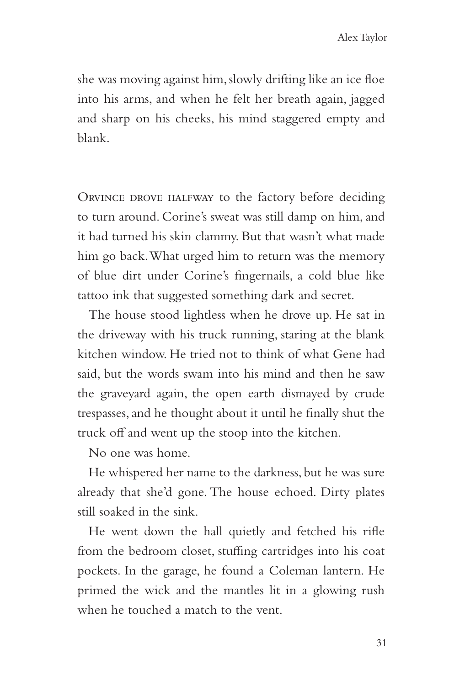she was moving against him, slowly drifting like an ice floe into his arms, and when he felt her breath again, jagged and sharp on his cheeks, his mind staggered empty and blank.

ORVINCE DROVE HALFWAY to the factory before deciding to turn around. Corine's sweat was still damp on him, and it had turned his skin clammy. But that wasn't what made him go back. What urged him to return was the memory of blue dirt under Corine's fingernails, a cold blue like tattoo ink that suggested something dark and secret.

The house stood lightless when he drove up. He sat in the driveway with his truck running, staring at the blank kitchen window. He tried not to think of what Gene had said, but the words swam into his mind and then he saw the graveyard again, the open earth dismayed by crude trespasses, and he thought about it until he finally shut the truck off and went up the stoop into the kitchen.

No one was home.

He whispered her name to the darkness, but he was sure already that she'd gone. The house echoed. Dirty plates still soaked in the sink.

He went down the hall quietly and fetched his rifle from the bedroom closet, stuffing cartridges into his coat pockets. In the garage, he found a Coleman lantern. He primed the wick and the mantles lit in a glowing rush when he touched a match to the vent.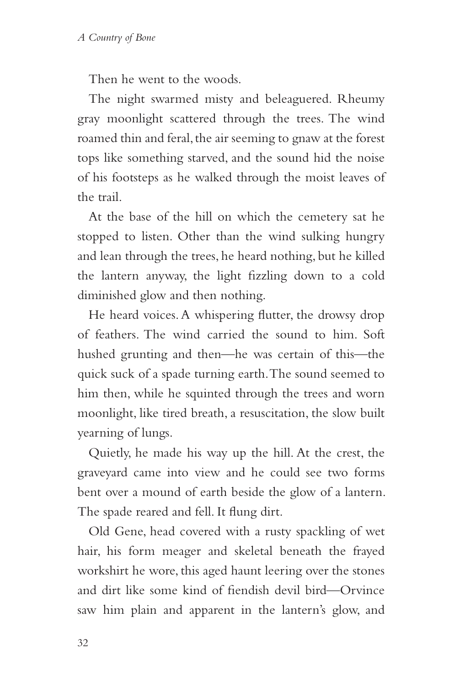Then he went to the woods.

The night swarmed misty and beleaguered. Rheumy gray moonlight scattered through the trees. The wind roamed thin and feral, the air seeming to gnaw at the forest tops like something starved, and the sound hid the noise of his footsteps as he walked through the moist leaves of the trail.

At the base of the hill on which the cemetery sat he stopped to listen. Other than the wind sulking hungry and lean through the trees, he heard nothing, but he killed the lantern anyway, the light fizzling down to a cold diminished glow and then nothing.

He heard voices. A whispering flutter, the drowsy drop of feathers. The wind carried the sound to him. Soft hushed grunting and then—he was certain of this—the quick suck of a spade turning earth. The sound seemed to him then, while he squinted through the trees and worn moonlight, like tired breath, a resuscitation, the slow built yearning of lungs.

Quietly, he made his way up the hill. At the crest, the graveyard came into view and he could see two forms bent over a mound of earth beside the glow of a lantern. The spade reared and fell. It flung dirt.

Old Gene, head covered with a rusty spackling of wet hair, his form meager and skeletal beneath the frayed workshirt he wore, this aged haunt leering over the stones and dirt like some kind of fiendish devil bird—Orvince saw him plain and apparent in the lantern's glow, and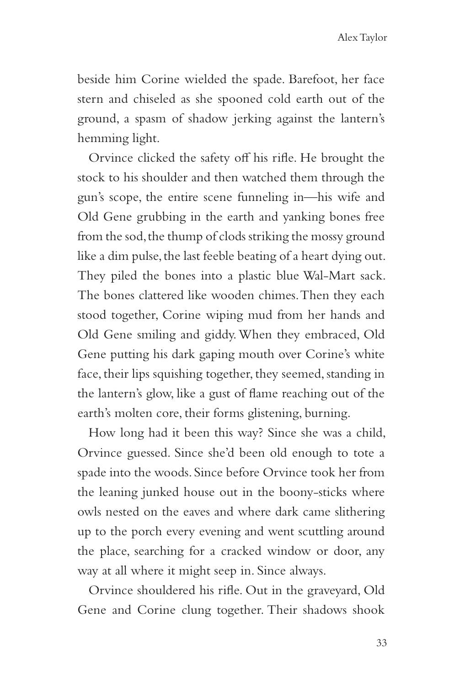beside him Corine wielded the spade. Barefoot, her face stern and chiseled as she spooned cold earth out of the ground, a spasm of shadow jerking against the lantern's hemming light.

Orvince clicked the safety off his rifle. He brought the stock to his shoulder and then watched them through the gun's scope, the entire scene funneling in—his wife and Old Gene grubbing in the earth and yanking bones free from the sod, the thump of clods striking the mossy ground like a dim pulse, the last feeble beating of a heart dying out. They piled the bones into a plastic blue Wal-Mart sack. The bones clattered like wooden chimes. Then they each stood together, Corine wiping mud from her hands and Old Gene smiling and giddy. When they embraced, Old Gene putting his dark gaping mouth over Corine's white face, their lips squishing together, they seemed, standing in the lantern's glow, like a gust of flame reaching out of the earth's molten core, their forms glistening, burning.

How long had it been this way? Since she was a child, Orvince guessed. Since she'd been old enough to tote a spade into the woods. Since before Orvince took her from the leaning junked house out in the boony-sticks where owls nested on the eaves and where dark came slithering up to the porch every evening and went scuttling around the place, searching for a cracked window or door, any way at all where it might seep in. Since always.

Orvince shouldered his rifle. Out in the graveyard, Old Gene and Corine clung together. Their shadows shook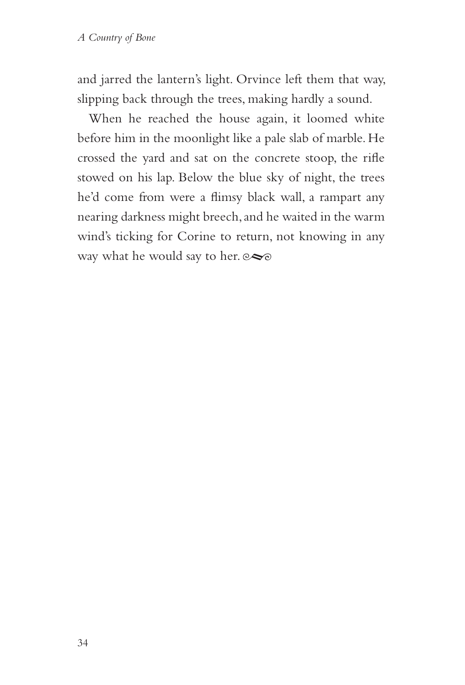and jarred the lantern's light. Orvince left them that way, slipping back through the trees, making hardly a sound.

When he reached the house again, it loomed white before him in the moonlight like a pale slab of marble. He crossed the yard and sat on the concrete stoop, the rifle stowed on his lap. Below the blue sky of night, the trees he'd come from were a flimsy black wall, a rampart any nearing darkness might breech, and he waited in the warm wind's ticking for Corine to return, not knowing in any way what he would say to her.  $\infty$